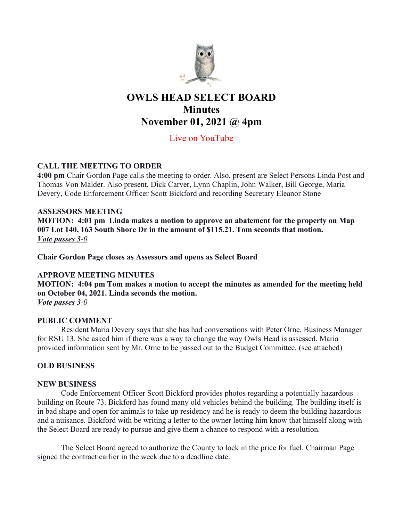

# OWLS HEAD SELECT BOARD **Minutes** November 01, 2021 @ 4pm

## Live on YouTube

### CALL THE MEETING TO ORDER

4:00 pm Chair Gordon Page calls the meeting to order. Also, present are Select Persons Linda Post and Thomas Von Malder. Also present, Dick Carver, Lynn Chaplin, John Walker, Bill George, Maria Devery, Code Enforcement Officer Scott Bickford and recording Secretary Eleanor Stone

#### ASSESSORS MEETING

MOTION: 4:01 pm Linda makes a motion to approve an abatement for the property on Map 007 Lot 140, 163 South Shore Dr in the amount of \$115.21. Tom seconds that motion. Vote passes 3-0

Chair Gordon Page closes as Assessors and opens as Select Board

#### APPROVE MEETING MINUTES

MOTION: 4:04 pm Tom makes a motion to accept the minutes as amended for the meeting held on October 04, 2021. Linda seconds the motion. Vote passes 3-0

#### PUBLIC COMMENT

Resident Maria Devery says that she has had conversations with Peter Orne, Business Manager for RSU 13. She asked him if there was a way to change the way Owls Head is assessed. Maria provided information sent by Mr. Orne to be passed out to the Budget Committee. (see attached)

### OLD BUSINESS

#### NEW BUSINESS

Code Enforcement Officer Scott Bickford provides photos regarding a potentially hazardous building on Route 73. Bickford has found many old vehicles behind the building. The building itself is in bad shape and open for animals to take up residency and he is ready to deem the building hazardous and a nuisance. Bickford with be writing a letter to the owner letting him know that himself along with the Select Board are ready to pursue and give them a chance to respond with a resolution.

The Select Board agreed to authorize the County to lock in the price for fuel. Chairman Page signed the contract earlier in the week due to a deadline date.